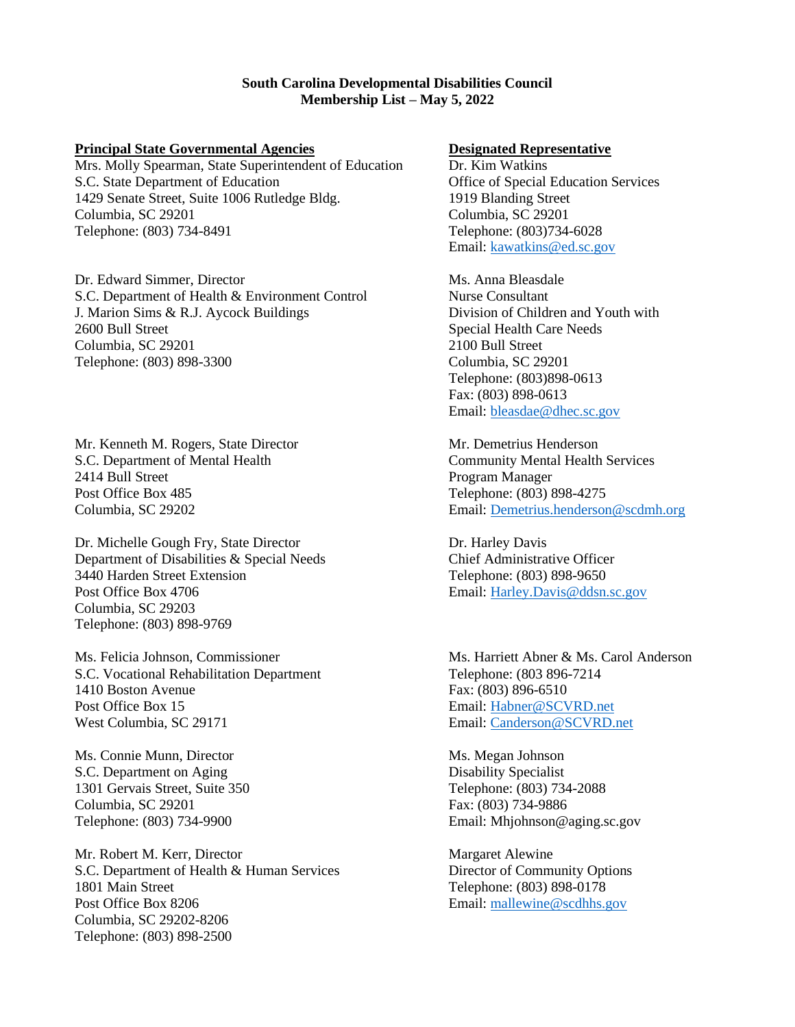## **South Carolina Developmental Disabilities Council Membership List – May 5, 2022**

# **Principal State Governmental Agencies Designated Representative**

Mrs. Molly Spearman, State Superintendent of Education Dr. Kim Watkins S.C. State Department of Education Office of Special Education Services 1429 Senate Street, Suite 1006 Rutledge Bldg. 1919 Blanding Street Columbia, SC 29201 Columbia, SC 29201 Telephone: (803) 734-8491 Telephone: (803)734-6028

Dr. Edward Simmer, Director Ms. Anna Bleasdale S.C. Department of Health & Environment Control Nurse Consultant J. Marion Sims & R.J. Aycock Buildings Division of Children and Youth with 2600 Bull Street Special Health Care Needs Columbia, SC 29201 2100 Bull Street Telephone: (803) 898-3300 Columbia, SC 29201

Mr. Kenneth M. Rogers, State Director **Mr. Demetrius Henderson** S.C. Department of Mental Health Community Mental Health Services 2414 Bull Street Program Manager Post Office Box 485 Telephone: (803) 898-4275

Dr. Michelle Gough Fry, State Director **Dr. Harley Davis** Department of Disabilities & Special Needs Chief Administrative Officer 3440 Harden Street Extension Telephone: (803) 898-9650 Post Office Box 4706 Email[: Harley.Davis@ddsn.sc.gov](mailto:Harley.Davis@ddsn.sc.gov) Columbia, SC 29203 Telephone: (803) 898-9769

Ms. Felicia Johnson, Commissioner Ms. Harriett Abner & Ms. Carol Anderson S.C. Vocational Rehabilitation Department Telephone: (803 896-7214 1410 Boston Avenue Fax: (803) 896-6510 Post Office Box 15 Email[: Habner@SCVRD.net](mailto:Habner@SCVRD.net) West Columbia, SC 29171 **Email: Canderson @SCVRD.net** 

Ms. Connie Munn, Director Ms. Megan Johnson S.C. Department on Aging Disability Specialist 1301 Gervais Street, Suite 350 Telephone: (803) 734-2088 Columbia, SC 29201 Fax: (803) 734-9886

Mr. Robert M. Kerr, Director Margaret Alewine S.C. Department of Health & Human Services Director of Community Options 1801 Main Street Telephone: (803) 898-0178 Post Office Box 8206 **Email:** mallewine@scdhhs.gov Columbia, SC 29202-8206 Telephone: (803) 898-2500

Email[: kawatkins@ed.sc.gov](mailto:kawatkins@ed.sc.gov)

Telephone: (803)898-0613 Fax: (803) 898-0613 Email[: bleasdae@dhec.sc.gov](mailto:bleasdae@dhec.sc.gov)

Columbia, SC 29202 Email[: Demetrius.henderson@scdmh.org](mailto:Demetrius.henderson@scdmh.org)

Telephone: (803) 734-9900 Email: Mhjohnson@aging.sc.gov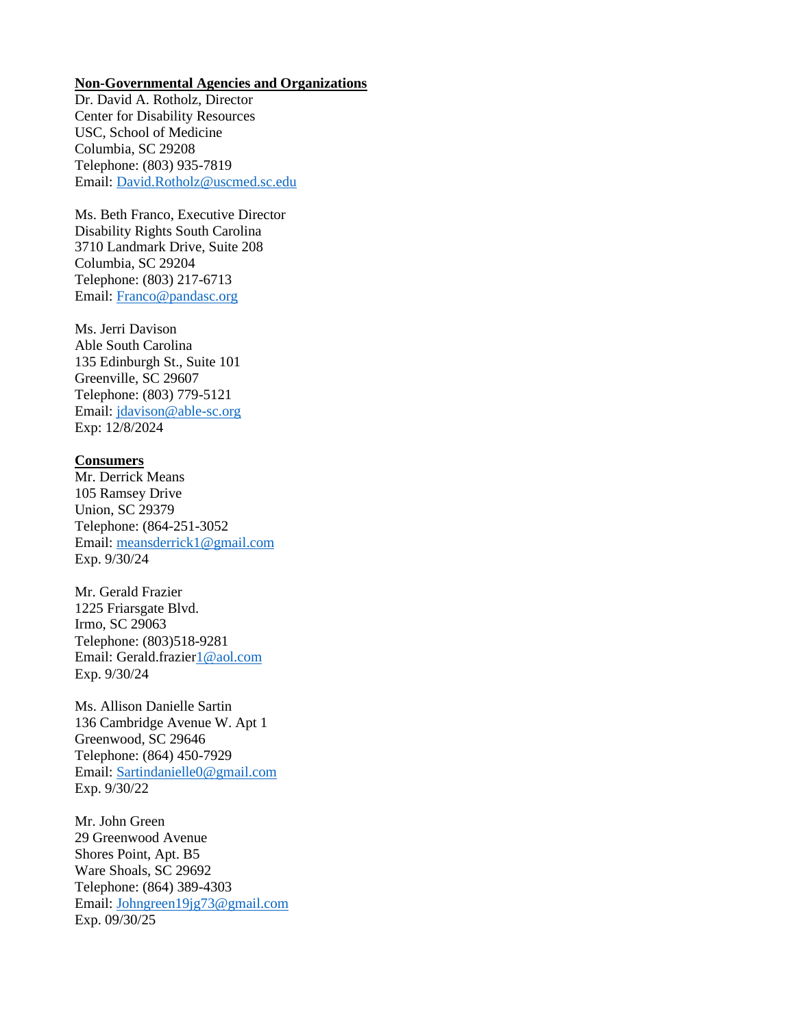#### **Non-Governmental Agencies and Organizations**

Dr. David A. Rotholz, Director Center for Disability Resources USC, School of Medicine Columbia, SC 29208 Telephone: (803) 935-7819 Email: [David.Rotholz@uscmed.sc.edu](mailto:David.Rotholz@uscmed.sc.edu)

Ms. Beth Franco, Executive Director Disability Rights South Carolina 3710 Landmark Drive, Suite 208 Columbia, SC 29204 Telephone: (803) 217-6713 Email: [Franco@pandasc.org](mailto:Franco@pandasc.org)

Ms. Jerri Davison Able South Carolina 135 Edinburgh St., Suite 101 Greenville, SC 29607 Telephone: (803) 779-5121 Email: [jdavison@able-sc.org](mailto:jdavison@able-sc.org) Exp: 12/8/2024

# **Consumers**

Mr. Derrick Means 105 Ramsey Drive Union, SC 29379 Telephone: (864-251-3052 Email: [meansderrick1@gmail.com](mailto:meansderrick1@gmail.com) Exp. 9/30/24

Mr. Gerald Frazier 1225 Friarsgate Blvd. Irmo, SC 29063 Telephone: (803)518-9281 Email: Gerald.frazie[r1@aol.com](mailto:1@aol.com) Exp. 9/30/24

Ms. Allison Danielle Sartin 136 Cambridge Avenue W. Apt 1 Greenwood, SC 29646 Telephone: (864) 450-7929 Email: [Sartindanielle0@gmail.com](mailto:Sartindanielle0@gmail.com) Exp. 9/30/22

Mr. John Green 29 Greenwood Avenue Shores Point, Apt. B5 Ware Shoals, SC 29692 Telephone: (864) 389-4303 Email: [Johngreen19jg73@gmail.com](mailto:Johngreen19jg73@gmail.com) Exp. 09/30/25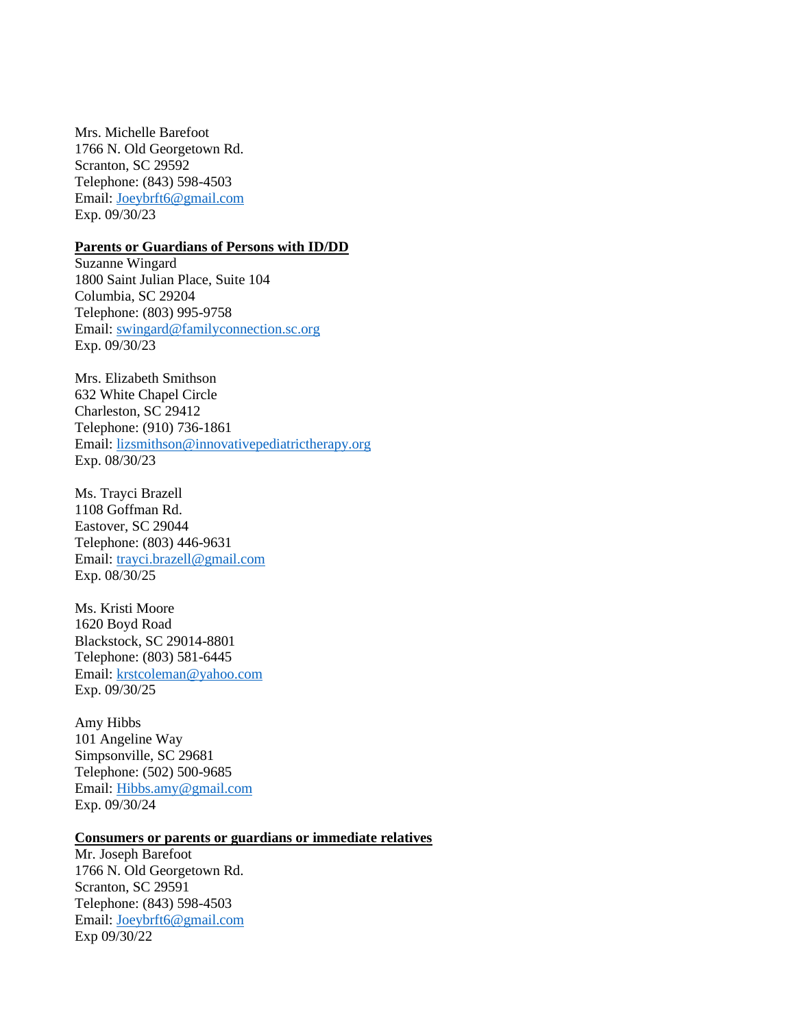Mrs. Michelle Barefoot 1766 N. Old Georgetown Rd. Scranton, SC 29592 Telephone: (843) 598-4503 Email: [Joeybrft6@gmail.com](mailto:Joeybrft6@gmail.com) Exp. 09/30/23

### **Parents or Guardians of Persons with ID/DD**

Suzanne Wingard 1800 Saint Julian Place, Suite 104 Columbia, SC 29204 Telephone: (803) 995-9758 Email: [swingard@familyconnection.sc.org](mailto:swingard@familyconnection.sc.org) Exp. 09/30/23

Mrs. Elizabeth Smithson 632 White Chapel Circle Charleston, SC 29412 Telephone: (910) 736-1861 Email: [lizsmithson@innovativepediatrictherapy.org](mailto:lizsmithson@innovativepediatrictherapy.org) Exp. 08/30/23

Ms. Trayci Brazell 1108 Goffman Rd. Eastover, SC 29044 Telephone: (803) 446-9631 Email: [trayci.brazell@gmail.com](mailto:trayci.brazell@gmail.com) Exp. 08/30/25

Ms. Kristi Moore 1620 Boyd Road Blackstock, SC 29014-8801 Telephone: (803) 581-6445 Email: [krstcoleman@yahoo.com](mailto:krstcoleman@yahoo.com) Exp. 09/30/25

Amy Hibbs 101 Angeline Way Simpsonville, SC 29681 Telephone: (502) 500-9685 Email: [Hibbs.amy@gmail.com](mailto:Hibbs.amy@gmail.com) Exp. 09/30/24

# **Consumers or parents or guardians or immediate relatives**

Mr. Joseph Barefoot 1766 N. Old Georgetown Rd. Scranton, SC 29591 Telephone: (843) 598-4503 Email: [Joeybrft6@gmail.com](mailto:Joeybrft6@gmail.com) Exp 09/30/22